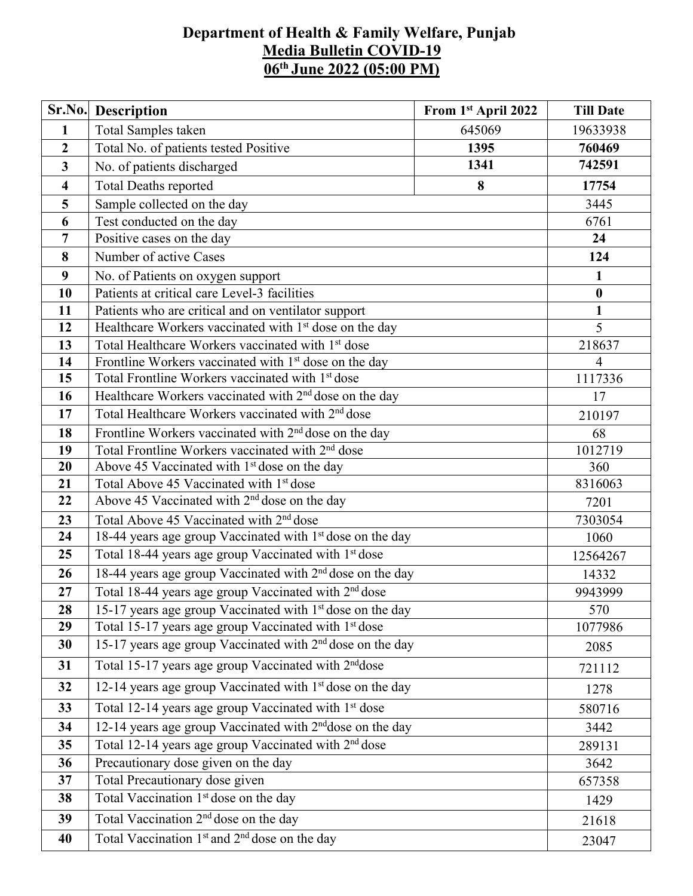## **Department of Health & Family Welfare, Punjab Media Bulletin COVID-19 06 th June 2022 (05:00 PM)**

| Sr.No.                  | <b>Description</b>                                                    | From 1st April 2022 | <b>Till Date</b> |  |  |  |
|-------------------------|-----------------------------------------------------------------------|---------------------|------------------|--|--|--|
| $\mathbf{1}$            | Total Samples taken                                                   | 645069              | 19633938         |  |  |  |
| $\boldsymbol{2}$        | Total No. of patients tested Positive                                 | 760469              |                  |  |  |  |
| 3                       | No. of patients discharged                                            | 742591              |                  |  |  |  |
| $\overline{\mathbf{4}}$ | <b>Total Deaths reported</b>                                          | 17754               |                  |  |  |  |
| 5                       | 8<br>Sample collected on the day                                      |                     |                  |  |  |  |
| 6                       | Test conducted on the day                                             |                     | 6761             |  |  |  |
| $\overline{7}$          | Positive cases on the day                                             |                     | 24               |  |  |  |
| 8                       | Number of active Cases                                                |                     | 124              |  |  |  |
| 9                       | No. of Patients on oxygen support                                     |                     |                  |  |  |  |
| 10                      | Patients at critical care Level-3 facilities                          |                     | $\boldsymbol{0}$ |  |  |  |
| 11                      | Patients who are critical and on ventilator support                   |                     | $\mathbf{1}$     |  |  |  |
| 12                      | Healthcare Workers vaccinated with 1 <sup>st</sup> dose on the day    |                     | 5                |  |  |  |
| 13                      | Total Healthcare Workers vaccinated with 1 <sup>st</sup> dose         |                     | 218637           |  |  |  |
| 14                      | Frontline Workers vaccinated with 1 <sup>st</sup> dose on the day     | 4                   |                  |  |  |  |
| 15                      | Total Frontline Workers vaccinated with 1 <sup>st</sup> dose          |                     | 1117336          |  |  |  |
| 16                      | Healthcare Workers vaccinated with 2 <sup>nd</sup> dose on the day    |                     |                  |  |  |  |
| 17                      | Total Healthcare Workers vaccinated with 2 <sup>nd</sup> dose         |                     |                  |  |  |  |
| 18                      | Frontline Workers vaccinated with 2 <sup>nd</sup> dose on the day     |                     |                  |  |  |  |
| 19                      | Total Frontline Workers vaccinated with 2 <sup>nd</sup> dose          |                     |                  |  |  |  |
| 20                      | Above 45 Vaccinated with 1 <sup>st</sup> dose on the day              |                     |                  |  |  |  |
| 21                      | Total Above 45 Vaccinated with 1st dose                               |                     |                  |  |  |  |
| 22                      | Above 45 Vaccinated with 2 <sup>nd</sup> dose on the day              |                     |                  |  |  |  |
| 23                      | Total Above 45 Vaccinated with 2 <sup>nd</sup> dose                   |                     |                  |  |  |  |
| 24                      | 18-44 years age group Vaccinated with 1 <sup>st</sup> dose on the day |                     |                  |  |  |  |
| 25                      | Total 18-44 years age group Vaccinated with 1 <sup>st</sup> dose      |                     |                  |  |  |  |
| 26                      | 18-44 years age group Vaccinated with 2 <sup>nd</sup> dose on the day | 14332               |                  |  |  |  |
| 27                      | Total 18-44 years age group Vaccinated with 2 <sup>nd</sup> dose      | 9943999             |                  |  |  |  |
| 28                      | 15-17 years age group Vaccinated with $1st$ dose on the day           | 570                 |                  |  |  |  |
| 29                      | Total 15-17 years age group Vaccinated with 1 <sup>st</sup> dose      | 1077986             |                  |  |  |  |
| 30                      | 15-17 years age group Vaccinated with 2 <sup>nd</sup> dose on the day |                     |                  |  |  |  |
| 31                      | Total 15-17 years age group Vaccinated with 2 <sup>nd</sup> dose      |                     |                  |  |  |  |
| 32                      | 12-14 years age group Vaccinated with 1 <sup>st</sup> dose on the day | 1278                |                  |  |  |  |
| 33                      | Total 12-14 years age group Vaccinated with 1 <sup>st</sup> dose      | 580716              |                  |  |  |  |
| 34                      | 12-14 years age group Vaccinated with 2 <sup>nd</sup> dose on the day | 3442                |                  |  |  |  |
| 35                      | Total 12-14 years age group Vaccinated with 2 <sup>nd</sup> dose      |                     |                  |  |  |  |
| 36                      | Precautionary dose given on the day                                   |                     |                  |  |  |  |
| 37                      | Total Precautionary dose given                                        | 657358              |                  |  |  |  |
| 38                      | Total Vaccination 1 <sup>st</sup> dose on the day                     |                     | 1429             |  |  |  |
| 39                      | Total Vaccination 2 <sup>nd</sup> dose on the day                     |                     | 21618            |  |  |  |
| 40                      | Total Vaccination 1 <sup>st</sup> and 2 <sup>nd</sup> dose on the day |                     | 23047            |  |  |  |
|                         |                                                                       |                     |                  |  |  |  |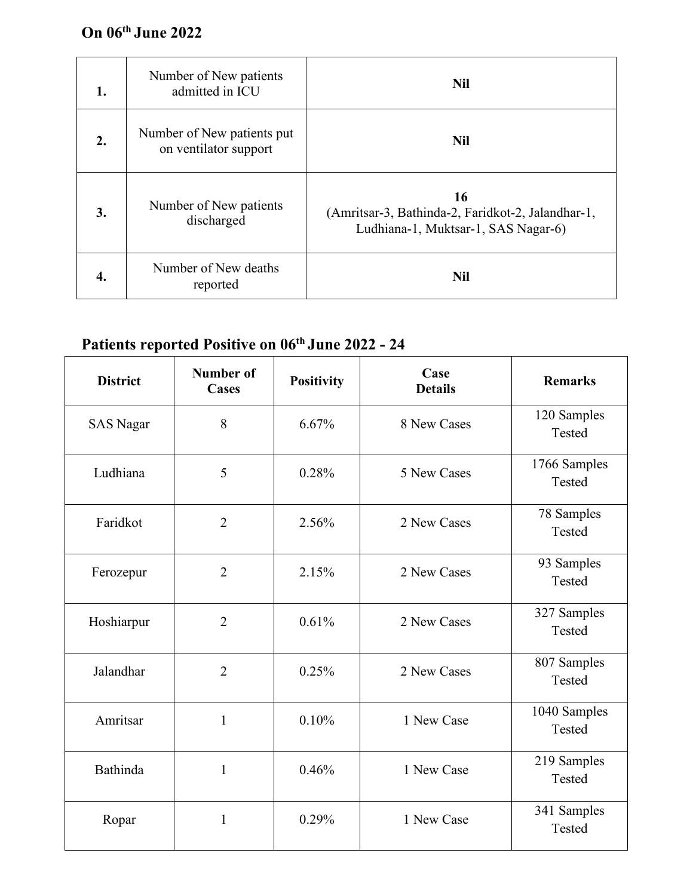## **On 06 th June 2022**

| 1. | Number of New patients<br>admitted in ICU           | <b>Nil</b>                                                                                     |
|----|-----------------------------------------------------|------------------------------------------------------------------------------------------------|
| 2. | Number of New patients put<br>on ventilator support | <b>Nil</b>                                                                                     |
| 3. | Number of New patients<br>discharged                | 16<br>(Amritsar-3, Bathinda-2, Faridkot-2, Jalandhar-1,<br>Ludhiana-1, Muktsar-1, SAS Nagar-6) |
| 4. | Number of New deaths<br>reported                    | <b>Nil</b>                                                                                     |

## **Patients reported Positive on 06 th June 2022 - 24**

| <b>District</b>  | <b>Number of</b><br><b>Cases</b> | <b>Positivity</b> | Case<br><b>Details</b> | <b>Remarks</b>         |  |
|------------------|----------------------------------|-------------------|------------------------|------------------------|--|
| <b>SAS Nagar</b> | 8                                | 6.67%             | 8 New Cases            | 120 Samples<br>Tested  |  |
| Ludhiana         | 5                                | 0.28%             | 5 New Cases            | 1766 Samples<br>Tested |  |
| Faridkot         | $\overline{2}$                   | 2.56%             | 2 New Cases            | 78 Samples<br>Tested   |  |
| Ferozepur        | $\overline{2}$                   | 2.15%             | 2 New Cases            | 93 Samples<br>Tested   |  |
| Hoshiarpur       | $\overline{2}$                   | 0.61%             | 2 New Cases            | 327 Samples<br>Tested  |  |
| Jalandhar        | $\overline{2}$                   | 0.25%             | 2 New Cases            | 807 Samples<br>Tested  |  |
| Amritsar         | $\mathbf{1}$                     | 0.10%             | 1 New Case             | 1040 Samples<br>Tested |  |
| Bathinda         | $\mathbf{1}$                     | 0.46%             | 1 New Case             | 219 Samples<br>Tested  |  |
| Ropar            | $\mathbf{1}$                     | 0.29%             | 1 New Case             | 341 Samples<br>Tested  |  |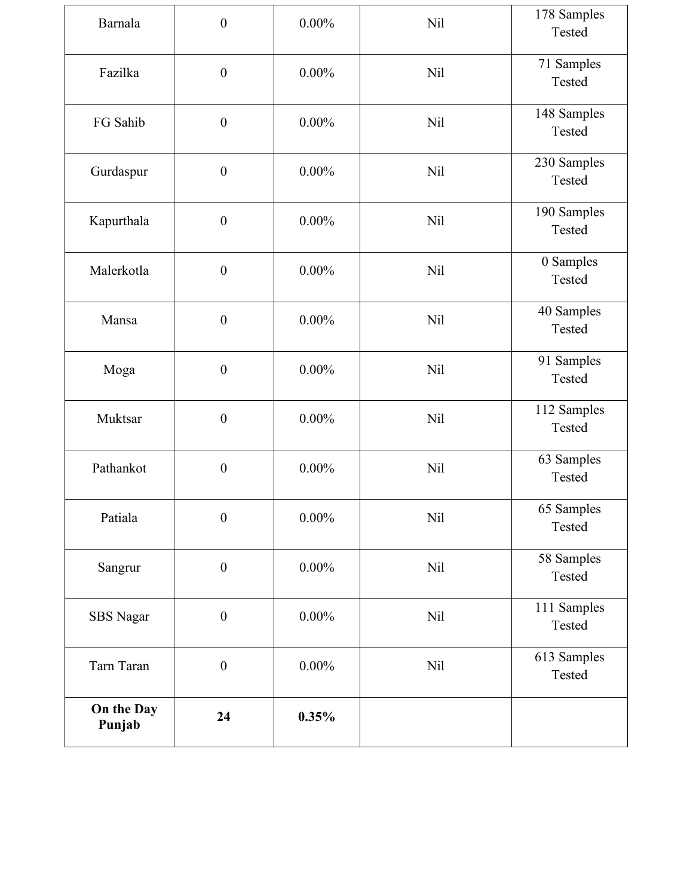| Barnala              | $\boldsymbol{0}$ | $0.00\%$ | <b>Nil</b> | 178 Samples<br>Tested |
|----------------------|------------------|----------|------------|-----------------------|
| Fazilka              | $\boldsymbol{0}$ | $0.00\%$ | <b>Nil</b> | 71 Samples<br>Tested  |
| FG Sahib             | $\boldsymbol{0}$ | $0.00\%$ | <b>Nil</b> | 148 Samples<br>Tested |
| Gurdaspur            | $\boldsymbol{0}$ | $0.00\%$ | <b>Nil</b> | 230 Samples<br>Tested |
| Kapurthala           | $\boldsymbol{0}$ | $0.00\%$ | <b>Nil</b> | 190 Samples<br>Tested |
| Malerkotla           | $\boldsymbol{0}$ | $0.00\%$ | <b>Nil</b> | 0 Samples<br>Tested   |
| Mansa                | $\boldsymbol{0}$ | $0.00\%$ | <b>Nil</b> | 40 Samples<br>Tested  |
| Moga                 | $\boldsymbol{0}$ | $0.00\%$ | Nil        | 91 Samples<br>Tested  |
| Muktsar              | $\boldsymbol{0}$ | $0.00\%$ | <b>Nil</b> | 112 Samples<br>Tested |
| Pathankot            | $\boldsymbol{0}$ | $0.00\%$ | <b>Nil</b> | 63 Samples<br>Tested  |
| Patiala              | $\boldsymbol{0}$ | $0.00\%$ | <b>Nil</b> | 65 Samples<br>Tested  |
| Sangrur              | $\boldsymbol{0}$ | $0.00\%$ | <b>Nil</b> | 58 Samples<br>Tested  |
| <b>SBS</b> Nagar     | $\boldsymbol{0}$ | $0.00\%$ | Nil        | 111 Samples<br>Tested |
| Tarn Taran           | $\boldsymbol{0}$ | $0.00\%$ | <b>Nil</b> | 613 Samples<br>Tested |
| On the Day<br>Punjab | 24               | 0.35%    |            |                       |
|                      |                  |          |            |                       |